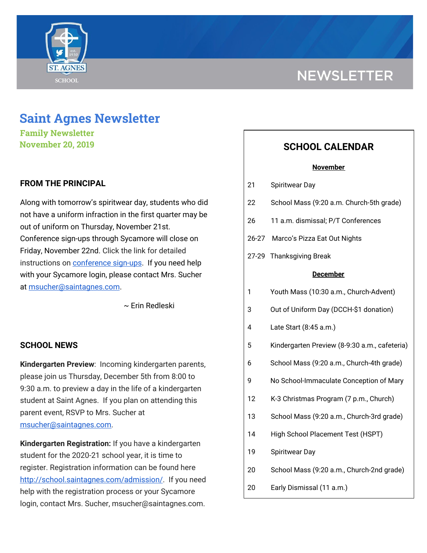

# **NEWSLETTER**

## **Saint Agnes Newsletter**

**Family Newsletter November 20, 2019**

## **FROM THE PRINCIPAL**

Along with tomorrow's spiritwear day, students who did not have a uniform infraction in the first quarter may be out of uniform on Thursday, November 21st. Conference sign-ups through Sycamore will close on Friday, November 22nd. Click the link for detailed instructions on [conference](http://school.saintagnes.com/wp-content/uploads/2019/11/Parent-View-How-to-schedule-Conferences-2019.pdf) sign-ups. If you need help with your Sycamore login, please contact Mrs. Sucher at [msucher@saintagnes.com.](mailto:msucher@saintagnes.com)

~ Erin Redleski

## **SCHOOL NEWS**

**Kindergarten Preview**: Incoming kindergarten parents, please join us Thursday, December 5th from 8:00 to 9:30 a.m. to preview a day in the life of a kindergarten student at Saint Agnes. If you plan on attending this parent event, RSVP to Mrs. Sucher at [msucher@saintagnes.com.](mailto:msucher@saintagnes.com)

**Kindergarten Registration:** If you have a kindergarten student for the 2020-21 school year, it is time to register. Registration information can be found here <http://school.saintagnes.com/admission/>. If you need help with the registration process or your Sycamore login, contact Mrs. Sucher, msucher@saintagnes.com.

## **SCHOOL CALENDAR**

#### **November**

- 21 Spiritwear Day
- 22 School Mass (9:20 a.m. Church-5th grade)
- 26 11 a.m. dismissal; P/T Conferences
- 26-27 Marco's Pizza Eat Out Nights
- 27-29 Thanksgiving Break

#### **December**

- 1 Youth Mass (10:30 a.m., Church-Advent)
- 3 Out of Uniform Day (DCCH-\$1 donation)
- 4 Late Start (8:45 a.m.)
- 5 Kindergarten Preview (8-9:30 a.m., cafeteria)
- 6 School Mass (9:20 a.m., Church-4th grade)
- 9 No School-Immaculate Conception of Mary
- 12 K-3 Christmas Program (7 p.m., Church)
- 13 School Mass (9:20 a.m., Church-3rd grade)
- 14 High School Placement Test (HSPT)
- 19 Spiritwear Day
- 20 School Mass (9:20 a.m., Church-2nd grade)
- 20 Early Dismissal (11 a.m.)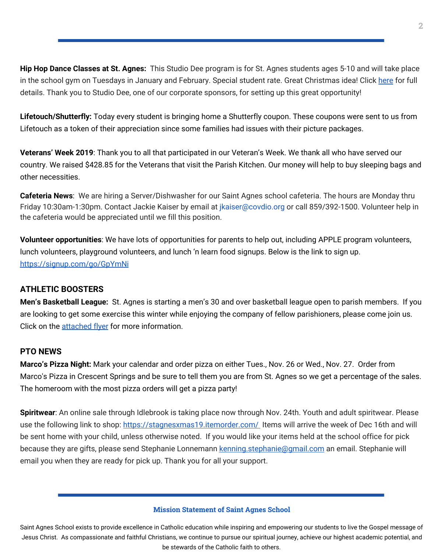**Hip Hop Dance Classes at St. Agnes:** This Studio Dee program is for St. Agnes students ages 5-10 and will take place in the school gym on Tuesdays in January and February. Special student rate. Great Christmas idea! Click [here](https://school.saintagnes.com/wp-content/uploads/2019/11/Studio-Dee-after-school-program.pdf) for full details. Thank you to Studio Dee, one of our corporate sponsors, for setting up this great opportunity!

**Lifetouch/Shutterfly:** Today every student is bringing home a Shutterfly coupon. These coupons were sent to us from Lifetouch as a token of their appreciation since some families had issues with their picture packages.

**Veterans' Week 2019**: Thank you to all that participated in our Veteran's Week. We thank all who have served our country. We raised \$428.85 for the Veterans that visit the Parish Kitchen. Our money will help to buy sleeping bags and other necessities.

**Cafeteria News**: We are hiring a Server/Dishwasher for our Saint Agnes school cafeteria. The hours are Monday thru Friday 10:30am-1:30pm. Contact Jackie Kaiser by email at *jkaiser@covdio.org* or call 859/392-1500. Volunteer help in the cafeteria would be appreciated until we fill this position.

**Volunteer opportunities**: We have lots of opportunities for parents to help out, including APPLE program volunteers, lunch volunteers, playground volunteers, and lunch 'n learn food signups. Below is the link to sign up. <https://signup.com/go/GpYmNi>

## **ATHLETIC BOOSTERS**

**Men's Basketball League:** St. Agnes is starting a men's 30 and over basketball league open to parish members. If you are looking to get some exercise this winter while enjoying the company of fellow parishioners, please come join us. Click on the [attached](https://school.saintagnes.com/wp-content/uploads/2019/11/Mens-League-Flyer-2019-20.pdf) flyer for more information.

## **PTO NEWS**

**Marco's Pizza Night:** Mark your calendar and order pizza on either Tues., Nov. 26 or Wed., Nov. 27. Order from Marco's Pizza in Crescent Springs and be sure to tell them you are from St. Agnes so we get a percentage of the sales. The homeroom with the most pizza orders will get a pizza party!

**Spiritwear**: An online sale through Idlebrook is taking place now through Nov. 24th. Youth and adult spiritwear. Please use the following link to shop: <https://stagnesxmas19.itemorder.com/> Items will arrive the week of Dec 16th and will be sent home with your child, unless otherwise noted. If you would like your items held at the school office for pick because they are gifts, please send Stephanie Lonnemann [kenning.stephanie@gmail.com](mailto:kenning.stephanie@gmail.com) an email. Stephanie will email you when they are ready for pick up. Thank you for all your support.

#### **Mission Statement of Saint Agnes School**

Saint Agnes School exists to provide excellence in Catholic education while inspiring and empowering our students to live the Gospel message of Jesus Christ. As compassionate and faithful Christians, we continue to pursue our spiritual journey, achieve our highest academic potential, and be stewards of the Catholic faith to others.